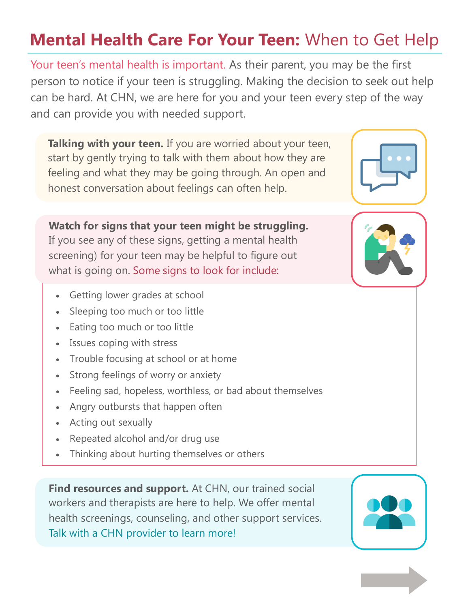# **Mental Health Care For Your Teen:** When to Get Help

Your teen's mental health is important. As their parent, you may be the first person to notice if your teen is struggling. Making the decision to seek out help can be hard. At CHN, we are here for you and your teen every step of the way and can provide you with needed support.

**Talking with your teen.** If you are worried about your teen, start by gently trying to talk with them about how they are feeling and what they may be going through. An open and honest conversation about feelings can often help.

**Watch for signs that your teen might be struggling.**  If you see any of these signs, getting a mental health screening) for your teen may be helpful to figure out what is going on. Some signs to look for include:

- Getting lower grades at school
- Sleeping too much or too little
- Eating too much or too little
- Issues coping with stress
- Trouble focusing at school or at home
- Strong feelings of worry or anxiety
- Feeling sad, hopeless, worthless, or bad about themselves
- Angry outbursts that happen often
- Acting out sexually
- Repeated alcohol and/or drug use
- Thinking about hurting themselves or others

**Find resources and support.** At CHN, our trained social workers and therapists are here to help. We offer mental health screenings, counseling, and other support services. Talk with a CHN provider to learn more!